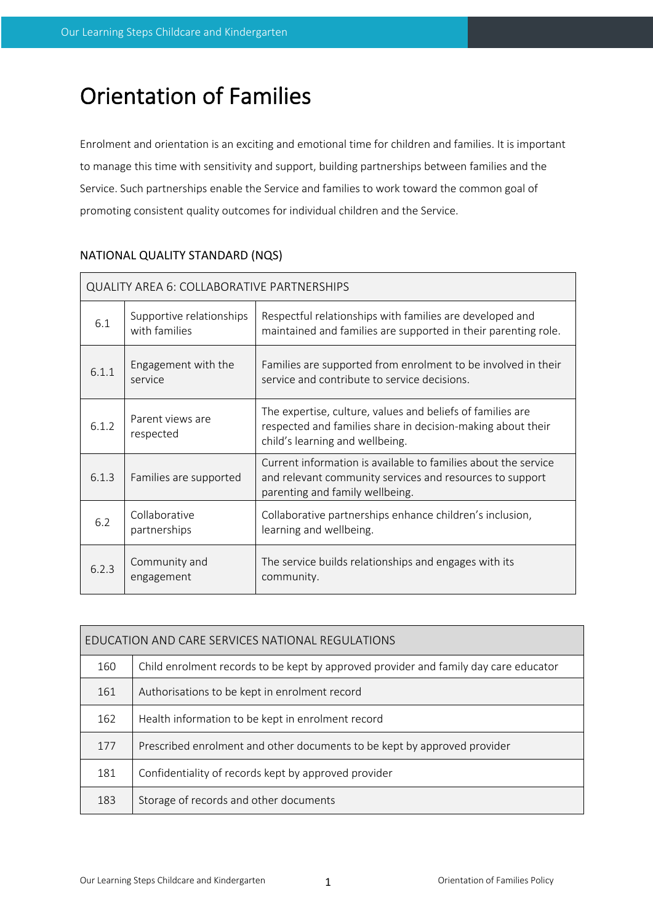# Orientation of Families

Enrolment and orientation is an exciting and emotional time for children and families. It is important to manage this time with sensitivity and support, building partnerships between families and the Service. Such partnerships enable the Service and families to work toward the common goal of promoting consistent quality outcomes for individual children and the Service.

| QUALITY AREA 6: COLLABORATIVE PARTNERSHIPS |                                           |                                                                                                                                                               |  |  |  |
|--------------------------------------------|-------------------------------------------|---------------------------------------------------------------------------------------------------------------------------------------------------------------|--|--|--|
| 6.1                                        | Supportive relationships<br>with families | Respectful relationships with families are developed and<br>maintained and families are supported in their parenting role.                                    |  |  |  |
| 6.1.1                                      | Engagement with the<br>service            | Families are supported from enrolment to be involved in their<br>service and contribute to service decisions.                                                 |  |  |  |
| 6.1.2                                      | Parent views are<br>respected             | The expertise, culture, values and beliefs of families are<br>respected and families share in decision-making about their<br>child's learning and wellbeing.  |  |  |  |
| 6.1.3                                      | Families are supported                    | Current information is available to families about the service<br>and relevant community services and resources to support<br>parenting and family wellbeing. |  |  |  |
| 6.2                                        | Collaborative<br>partnerships             | Collaborative partnerships enhance children's inclusion,<br>learning and wellbeing.                                                                           |  |  |  |
| 6.2.3                                      | Community and<br>engagement               | The service builds relationships and engages with its<br>community.                                                                                           |  |  |  |

# NATIONAL QUALITY STANDARD (NQS)

| EDUCATION AND CARE SERVICES NATIONAL REGULATIONS |                                                                                      |  |  |  |
|--------------------------------------------------|--------------------------------------------------------------------------------------|--|--|--|
| 160                                              | Child enrolment records to be kept by approved provider and family day care educator |  |  |  |
| 161                                              | Authorisations to be kept in enrolment record                                        |  |  |  |
| 162                                              | Health information to be kept in enrolment record                                    |  |  |  |
| 177                                              | Prescribed enrolment and other documents to be kept by approved provider             |  |  |  |
| 181                                              | Confidentiality of records kept by approved provider                                 |  |  |  |
| 183                                              | Storage of records and other documents                                               |  |  |  |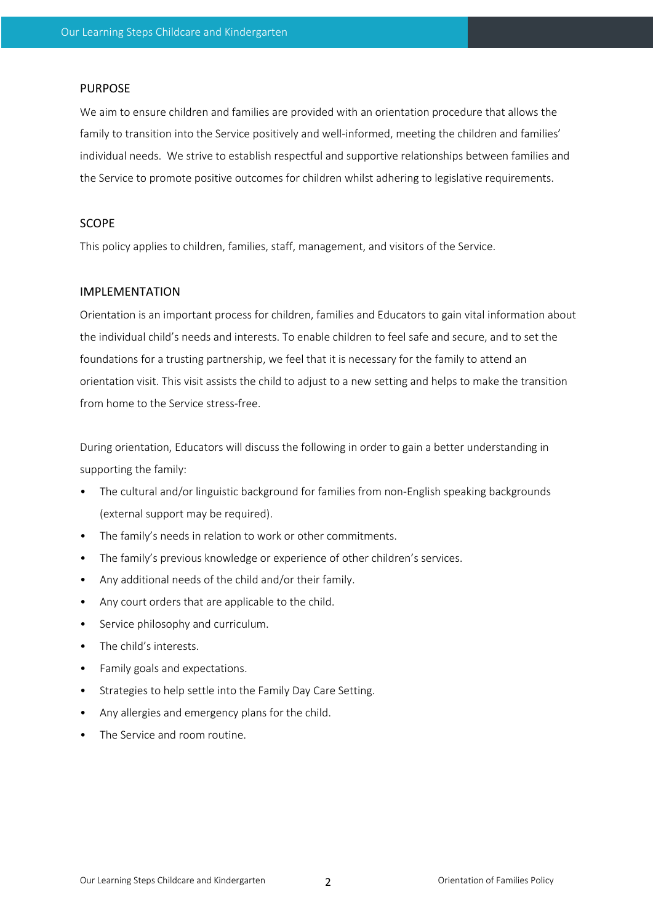#### PURPOSE

We aim to ensure children and families are provided with an orientation procedure that allows the family to transition into the Service positively and well-informed, meeting the children and families' individual needs. We strive to establish respectful and supportive relationships between families and the Service to promote positive outcomes for children whilst adhering to legislative requirements.

#### SCOPE

This policy applies to children, families, staff, management, and visitors of the Service.

#### IMPLEMENTATION

Orientation is an important process for children, families and Educators to gain vital information about the individual child's needs and interests. To enable children to feel safe and secure, and to set the foundations for a trusting partnership, we feel that it is necessary for the family to attend an orientation visit. This visit assists the child to adjust to a new setting and helps to make the transition from home to the Service stress-free.

During orientation, Educators will discuss the following in order to gain a better understanding in supporting the family:

- The cultural and/or linguistic background for families from non-English speaking backgrounds (external support may be required).
- The family's needs in relation to work or other commitments.
- The family's previous knowledge or experience of other children's services.
- Any additional needs of the child and/or their family.
- Any court orders that are applicable to the child.
- Service philosophy and curriculum.
- The child's interests.
- Family goals and expectations.
- Strategies to help settle into the Family Day Care Setting.
- Any allergies and emergency plans for the child.
- The Service and room routine.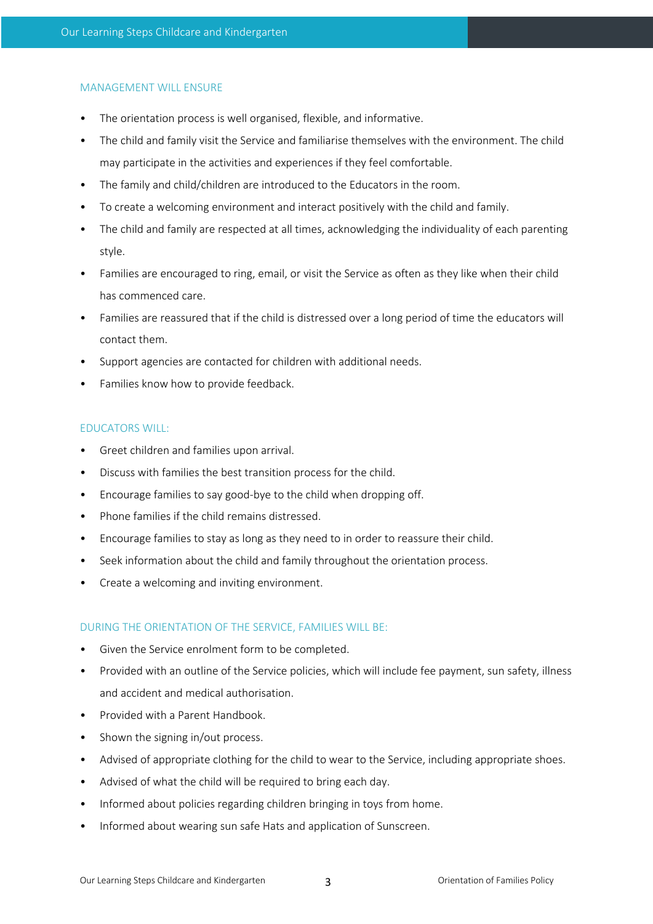#### MANAGEMENT WILL ENSURE

- The orientation process is well organised, flexible, and informative.
- The child and family visit the Service and familiarise themselves with the environment. The child may participate in the activities and experiences if they feel comfortable.
- The family and child/children are introduced to the Educators in the room.
- To create a welcoming environment and interact positively with the child and family.
- The child and family are respected at all times, acknowledging the individuality of each parenting style.
- Families are encouraged to ring, email, or visit the Service as often as they like when their child has commenced care.
- Families are reassured that if the child is distressed over a long period of time the educators will contact them.
- Support agencies are contacted for children with additional needs.
- Families know how to provide feedback.

## EDUCATORS WILL:

- Greet children and families upon arrival.
- Discuss with families the best transition process for the child.
- Encourage families to say good-bye to the child when dropping off.
- Phone families if the child remains distressed.
- Encourage families to stay as long as they need to in order to reassure their child.
- Seek information about the child and family throughout the orientation process.
- Create a welcoming and inviting environment.

## DURING THE ORIENTATION OF THE SERVICE, FAMILIES WILL BE:

- Given the Service enrolment form to be completed.
- Provided with an outline of the Service policies, which will include fee payment, sun safety, illness and accident and medical authorisation.
- Provided with a Parent Handbook.
- Shown the signing in/out process.
- Advised of appropriate clothing for the child to wear to the Service, including appropriate shoes.
- Advised of what the child will be required to bring each day.
- Informed about policies regarding children bringing in toys from home.
- Informed about wearing sun safe Hats and application of Sunscreen.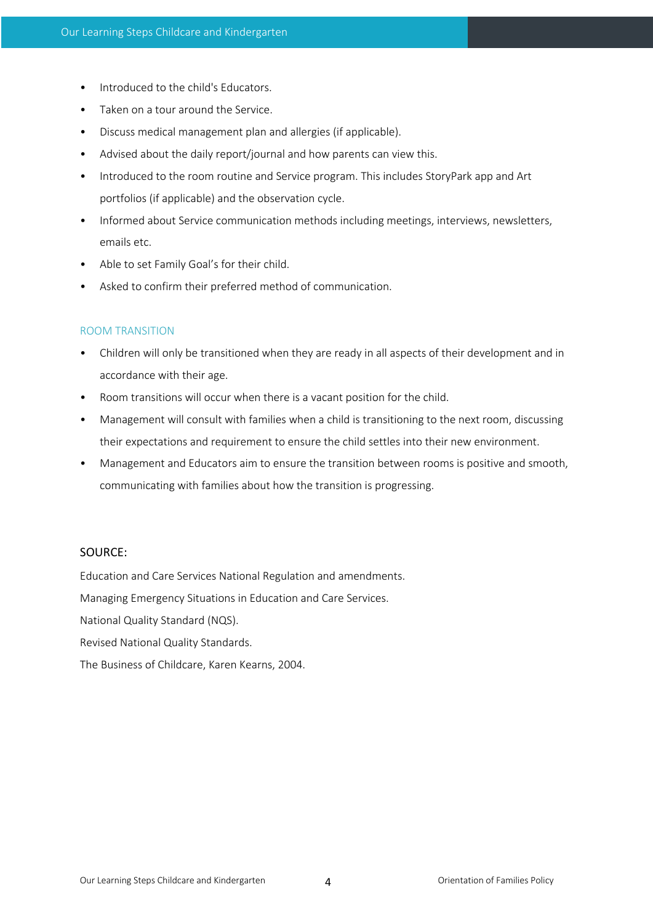- Introduced to the child's Educators.
- Taken on a tour around the Service.
- Discuss medical management plan and allergies (if applicable).
- Advised about the daily report/journal and how parents can view this.
- Introduced to the room routine and Service program. This includes StoryPark app and Art portfolios (if applicable) and the observation cycle.
- Informed about Service communication methods including meetings, interviews, newsletters, emails etc.
- Able to set Family Goal's for their child.
- Asked to confirm their preferred method of communication.

## ROOM TRANSITION

- Children will only be transitioned when they are ready in all aspects of their development and in accordance with their age.
- Room transitions will occur when there is a vacant position for the child.
- Management will consult with families when a child is transitioning to the next room, discussing their expectations and requirement to ensure the child settles into their new environment.
- Management and Educators aim to ensure the transition between rooms is positive and smooth, communicating with families about how the transition is progressing.

## SOURCE:

Education and Care Services National Regulation and amendments.

Managing Emergency Situations in Education and Care Services.

National Quality Standard (NQS).

Revised National Quality Standards.

The Business of Childcare, Karen Kearns, 2004.